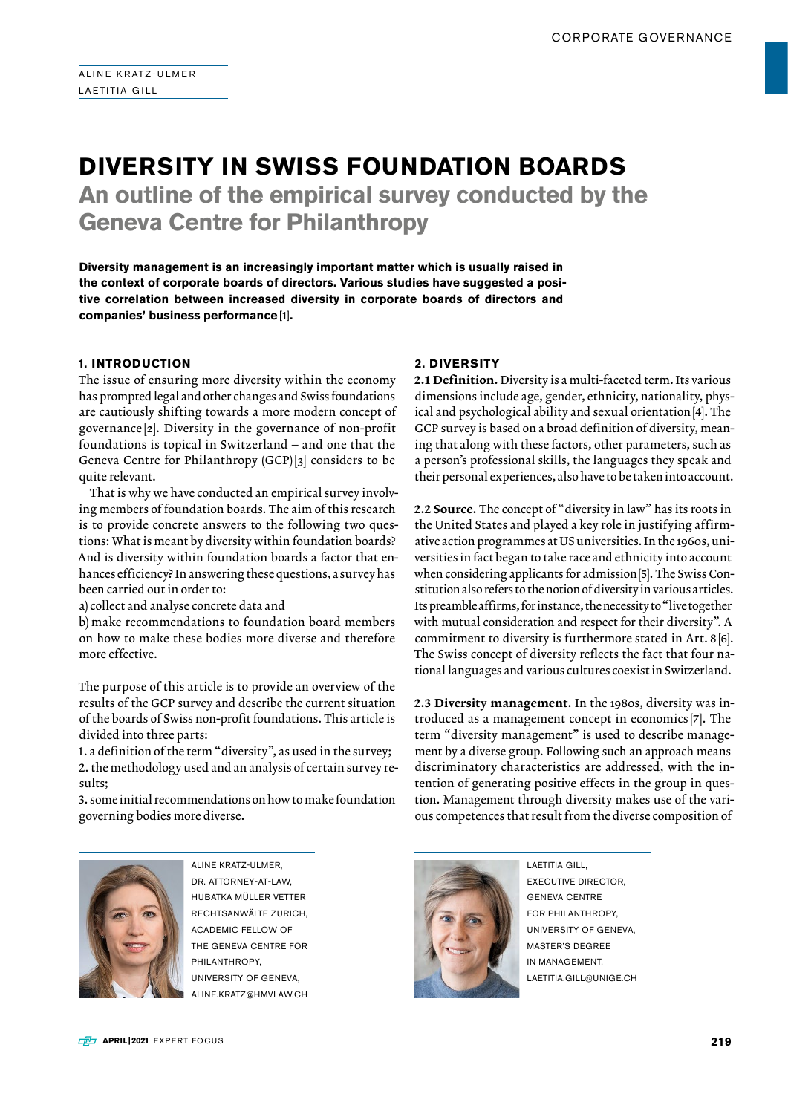# **DIVERSITY IN SWISS FOUNDATION BOARDS An outline of the empirical survey conducted by the**

**Geneva Centre for Philanthropy**

**Diversity management is an increasingly important matter which is usually raised in the context of corporate boards of directors. Various studies have suggested a positive correlation between increased diversity in corporate boards of directors and companies' business performance** [1]**.**

## **1. INTRODUCTION**

The issue of ensuring more diversity within the economy has prompted legal and other changes and Swiss foundations are cautiously shifting towards a more modern concept of governance [2]. Diversity in the governance of non-profit foundations is topical in Switzerland – and one that the Geneva Centre for Philanthropy (GCP) [3] considers to be quite relevant.

That is why we have conducted an empirical survey involving members of foundation boards. The aim of this research is to provide concrete answers to the following two questions: What is meant by diversity within foundation boards? And is diversity within foundation boards a factor that enhances efficiency? In answering these questions, a survey has been carried out in order to:

a) collect and analyse concrete data and

b) make recommendations to foundation board members on how to make these bodies more diverse and therefore more effective.

The purpose of this article is to provide an overview of the results of the GCP survey and describe the current situation of the boards of Swiss non-profit foundations. This article is divided into three parts:

1. a definition of the term "diversity", as used in the survey; 2. the methodology used and an analysis of certain survey results;

3. some initial recommendations on how to make foundation governing bodies more diverse.

## **2. DIVERSITY**

2.1 Definition. Diversity is a multi-faceted term. Its various dimensions include age, gender, ethnicity, nationality, physical and psychological ability and sexual orientation[4]. The GCP survey is based on a broad definition of diversity, meaning that along with these factors, other parameters, such as a person's professional skills, the languages they speak and their personal experiences, also have to be taken into account.

2.2 Source. The concept of "diversity in law" has its roots in the United States and played a key role in justifying affirmative action programmes at US universities. In the 1960s, universities in fact began to take race and ethnicity into account when considering applicants for admission [5]. The Swiss Constitution also refers to the notion of diversity in various articles. Its preamble affirms, for instance, the necessity to "live together with mutual consideration and respect for their diversity"*.* A commitment to diversity is furthermore stated in Art. 8[6]. The Swiss concept of diversity reflects the fact that four national languages and various cultures coexist in Switzerland.

2.3 Diversity management. In the 1980s, diversity was introduced as a management concept in economics [7]. The term "diversity management" is used to describe management by a diverse group. Following such an approach means discriminatory characteristics are addressed, with the intention of generating positive effects in the group in question. Management through diversity makes use of the various competences that result from the diverse composition of



ALINE KRATZ-ULMER, DR. ATTORNEY-AT-LAW HUBATKA MÜLLER VETTER RECHTSANWÄLTE ZURICH, ACADEMIC FELLOW OF THE GENEVA CENTRE FOR PHILANTHROPY, UNIVERSITY OF GENEVA, ALINE.KRATZ@HMVLAW.CH



LAETITIA GILL, EXECUTIVE DIRECTOR, GENEVA CENTRE FOR PHILANTHROPY UNIVERSITY OF GENEVA, MASTER'S DEGREE IN MANAGEMENT, LAETITIA.GILL@UNIGE.CH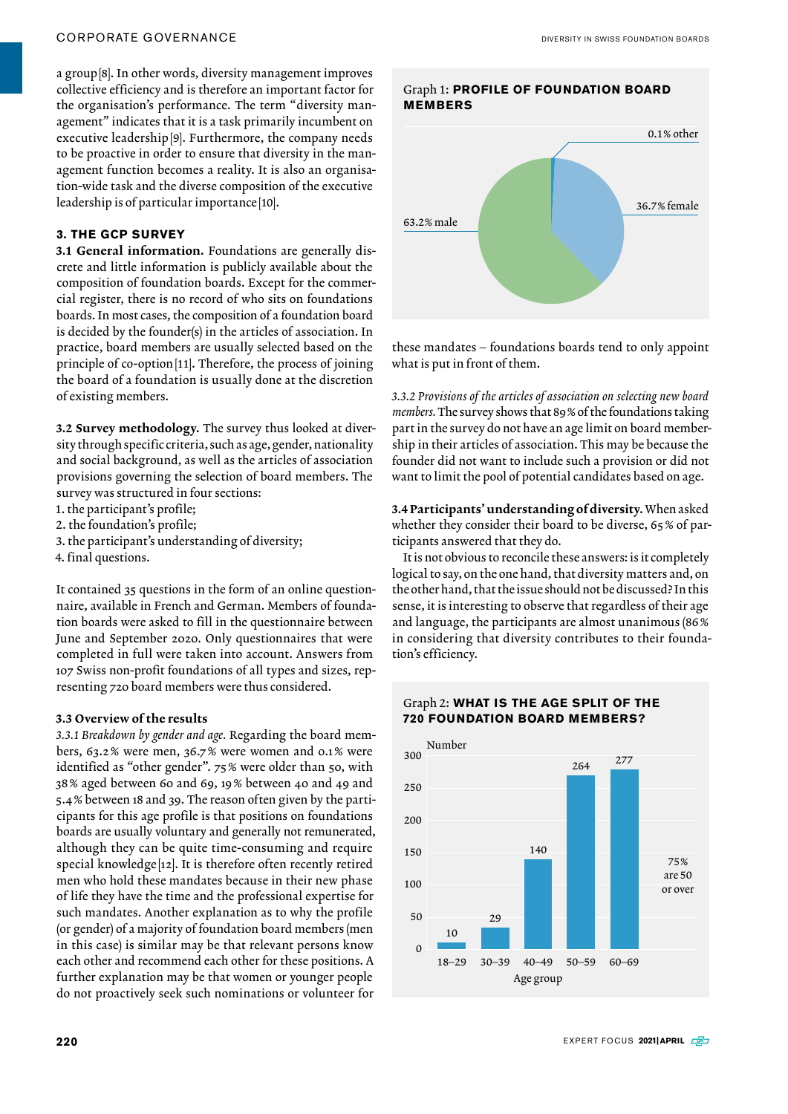### CORPORATE GOVERNANCE

a group[8]. In other words, diversity management improves collective efficiency and is therefore an important factor for the organisation's performance. The term "diversity management" indicates that it is a task primarily incumbent on executive leadership[9]. Furthermore, the company needs to be proactive in order to ensure that diversity in the management function becomes a reality. It is also an organisation-wide task and the diverse composition of the executive leadership is of particular importance [10].

## **3. THE GCP SURVEY**

3.1 General information. Foundations are generally discrete and little information is publicly available about the composition of foundation boards. Except for the commercial register, there is no record of who sits on foundations boards. In most cases, the composition of a foundation board is decided by the founder(s) in the articles of association. In practice, board members are usually selected based on the principle of co-option[11]. Therefore, the process of joining the board of a foundation is usually done at the discretion of existing members.

3.2 Survey methodology. The survey thus looked at diversity through specific criteria, such as age, gender, nationality and social background, as well as the articles of association provisions governing the selection of board members. The survey was structured in four sections:

- 1. the participant's profile;
- 2. the foundation's profile;
- 3. the participant's understanding of diversity;
- 4. final questions.

It contained 35 questions in the form of an online questionnaire, available in French and German. Members of foundation boards were asked to fill in the questionnaire between June and September 2020. Only questionnaires that were completed in full were taken into account. Answers from 107 Swiss non-profit foundations of all types and sizes, representing 720 board members were thus considered.

#### 3.3 Overview of the results

*3.3.1 Breakdown by gender and age.* Regarding the board members, 63.2% were men, 36.7% were women and 0.1% were identified as "other gender". 75% were older than 50, with 38% aged between 60 and 69, 19% between 40 and 49 and 5.4% between 18 and 39. The reason often given by the participants for this age profile is that positions on foundations boards are usually voluntary and generally not remunerated, although they can be quite time-consuming and require special knowledge [12]. It is therefore often recently retired men who hold these mandates because in their new phase of life they have the time and the professional expertise for such mandates. Another explanation as to why the profile (or gender) of a majority of foundation board members (men in this case) is similar may be that relevant persons know each other and recommend each other for these positions. A further explanation may be that women or younger people do not proactively seek such nominations or volunteer for



these mandates – foundations boards tend to only appoint what is put in front of them.

*3.3.2 Provisions of the articles of association on selecting new board members.* The survey shows that 89% of the foundations taking part in the survey do not have an age limit on board membership in their articles of association. This may be because the founder did not want to include such a provision or did not want to limit the pool of potential candidates based on age.

3.4 Participants' understanding of diversity. When asked whether they consider their board to be diverse, 65% of participants answered that they do.

It is not obvious to reconcile these answers: is it completely logical to say, on the one hand, that diversity matters and, on the other hand, that the issue should not be discussed? In this sense, it is interesting to observe that regardless of their age and language, the participants are almost unanimous (86% in considering that diversity contributes to their foundation's efficiency.



### Graph 2: **WHAT IS THE AGE SPLIT OF THE 720 FOUNDATION BOARD MEMBERS?**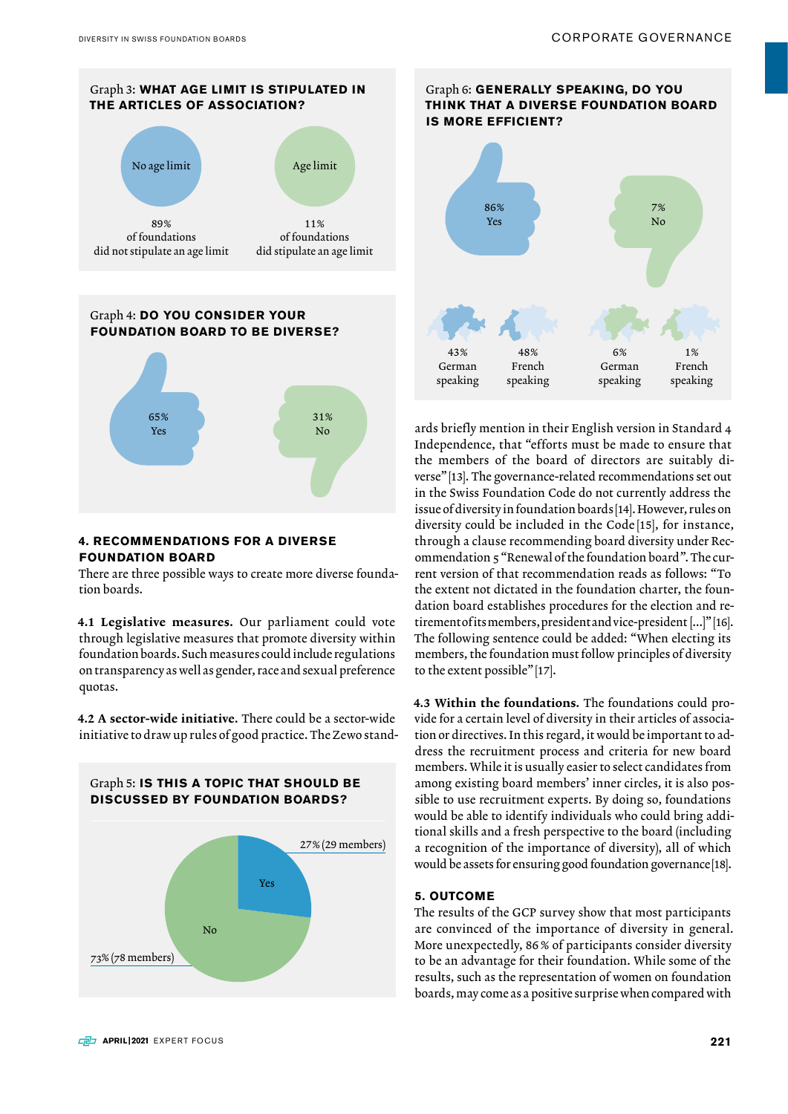

## **4. RECOMMENDATIONS FOR A DIVERSE FOUNDATION BOARD**

There are three possible ways to create more diverse foundation boards.

4.1 Legislative measures. Our parliament could vote through legislative measures that promote diversity within foundation boards. Such measures could include regulations on transparency as well as gender, race and sexual preference quotas.

4.2 A sector-wide initiative. There could be a sector-wide initiative to draw up rules of good practice. The Zewo stand-







Graph 6: **GENERALLY SPEAKING, DO YOU** 

ards briefly mention in their English version in Standard 4 Independence, that "efforts must be made to ensure that the members of the board of directors are suitably diverse"[13]. The governance-related recommendations set out in the Swiss Foundation Code do not currently address the issue of diversity in foundation boards [14]. However, rules on diversity could be included in the Code [15], for instance, through a clause recommending board diversity under Recommendation 5 "Renewal of the foundation board". The current version of that recommendation reads as follows: "To the extent not dictated in the foundation charter, the foundation board establishes procedures for the election and retirement of its members, president and vice-president [...]" [16]. The following sentence could be added: "When electing its members, the foundation must follow principles of diversity to the extent possible"[17].

4.3 Within the foundations. The foundations could provide for a certain level of diversity in their articles of association or directives. In this regard, it would be important to address the recruitment process and criteria for new board members. While it is usually easier to select candidates from among existing board members' inner circles, it is also possible to use recruitment experts. By doing so, foundations would be able to identify individuals who could bring additional skills and a fresh perspective to the board (including a recognition of the importance of diversity), all of which would be assets for ensuring good foundation governance[18].

#### **5. OUTCOME**

The results of the GCP survey show that most participants are convinced of the importance of diversity in general. More unexpectedly, 86 % of participants consider diversity to be an advantage for their foundation. While some of the results, such as the representation of women on foundation boards, may come as a positive surprise when compared with